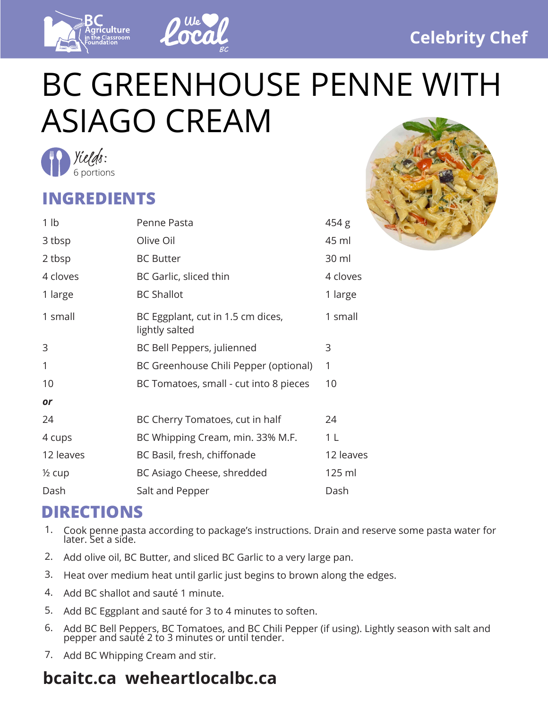



## BC GREENHOUSE PENNE WITH ASIAGO CREAM



## **INGREDIENTS**

| 1 <sub>lb</sub>   | Penne Pasta                                         | 454 g          |
|-------------------|-----------------------------------------------------|----------------|
| 3 tbsp            | Olive Oil                                           | 45 ml          |
| 2 tbsp            | <b>BC Butter</b>                                    | 30 ml          |
| 4 cloves          | BC Garlic, sliced thin                              | 4 cloves       |
| 1 large           | <b>BC Shallot</b>                                   | 1 large        |
| 1 small           | BC Eggplant, cut in 1.5 cm dices,<br>lightly salted | 1 small        |
| 3                 | BC Bell Peppers, julienned                          | 3              |
| 1                 | BC Greenhouse Chili Pepper (optional)               | 1              |
| 10                | BC Tomatoes, small - cut into 8 pieces              | 10             |
| or                |                                                     |                |
| 24                | BC Cherry Tomatoes, cut in half                     | 24             |
| 4 cups            | BC Whipping Cream, min. 33% M.F.                    | 1 <sub>L</sub> |
| 12 leaves         | BC Basil, fresh, chiffonade                         | 12 leaves      |
| $\frac{1}{2}$ cup | BC Asiago Cheese, shredded                          | 125 ml         |
| Dash              | Salt and Pepper                                     | Dash           |
|                   |                                                     |                |

## **DIRECTIONS**

- Cook penne pasta according to package's instructions. Drain and reserve some pasta water for later. Set a side. 1.
- 2. Add olive oil, BC Butter, and sliced BC Garlic to a very large pan.
- 3. Heat over medium heat until garlic just begins to brown along the edges.
- 4. Add BC shallot and sauté 1 minute.
- 5. Add BC Eggplant and sauté for 3 to 4 minutes to soften.
- Add BC Bell Peppers, BC Tomatoes, and BC Chili Pepper (if using). Lightly season with salt and pepper and sauté 2 to 3 minutes or until tender. 6.
- 7. Add BC Whipping Cream and stir.

## **bcaitc.ca weheartlocalbc.ca**